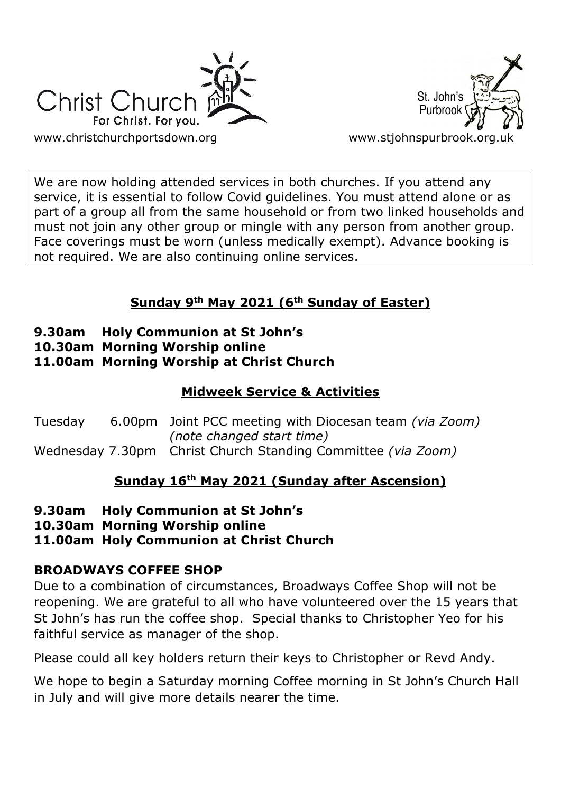



We are now holding attended services in both churches. If you attend any service, it is essential to follow Covid guidelines. You must attend alone or as part of a group all from the same household or from two linked households and must not join any other group or mingle with any person from another group. Face coverings must be worn (unless medically exempt). Advance booking is not required. We are also continuing online services.

## **Sunday 9th May 2021 (6th Sunday of Easter)**

- **9.30am Holy Communion at St John's**
- **10.30am Morning Worship online**
- **11.00am Morning Worship at Christ Church**

## **Midweek Service & Activities**

Tuesday 6.00pm Joint PCC meeting with Diocesan team *(via Zoom) (note changed start time)* Wednesday 7.30pm Christ Church Standing Committee *(via Zoom)*

### **Sunday 16th May 2021 (Sunday after Ascension)**

- **9.30am Holy Communion at St John's**
- **10.30am Morning Worship online**
- **11.00am Holy Communion at Christ Church**

### **BROADWAYS COFFEE SHOP**

Due to a combination of circumstances, Broadways Coffee Shop will not be reopening. We are grateful to all who have volunteered over the 15 years that St John's has run the coffee shop. Special thanks to Christopher Yeo for his faithful service as manager of the shop.

Please could all key holders return their keys to Christopher or Revd Andy.

We hope to begin a Saturday morning Coffee morning in St John's Church Hall in July and will give more details nearer the time.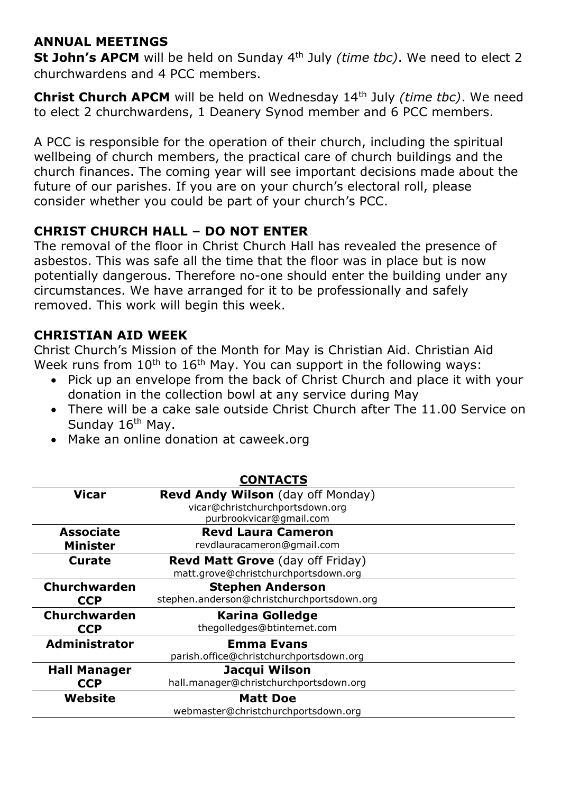#### **ANNUAL MEETINGS**

**St John's APCM** will be held on Sunday 4th July *(time tbc)*. We need to elect 2 churchwardens and 4 PCC members.

**Christ Church APCM** will be held on Wednesday 14th July *(time tbc)*. We need to elect 2 churchwardens, 1 Deanery Synod member and 6 PCC members.

A PCC is responsible for the operation of their church, including the spiritual wellbeing of church members, the practical care of church buildings and the church finances. The coming year will see important decisions made about the future of our parishes. If you are on your church's electoral roll, please consider whether you could be part of your church's PCC.

### **CHRIST CHURCH HALL – DO NOT ENTER**

The removal of the floor in Christ Church Hall has revealed the presence of asbestos. This was safe all the time that the floor was in place but is now potentially dangerous. Therefore no-one should enter the building under any circumstances. We have arranged for it to be professionally and safely removed. This work will begin this week.

#### **CHRISTIAN AID WEEK**

Christ Church's Mission of the Month for May is Christian Aid. Christian Aid Week runs from  $10^{th}$  to  $16^{th}$  May. You can support in the following ways:

- Pick up an envelope from the back of Christ Church and place it with your donation in the collection bowl at any service during May
- There will be a cake sale outside Christ Church after The 11.00 Service on Sunday 16<sup>th</sup> May.
- Make an online donation at caweek.org

| <b>CONTACTS</b>      |                                            |
|----------------------|--------------------------------------------|
| <b>Vicar</b>         | <b>Revd Andy Wilson</b> (day off Monday)   |
|                      | vicar@christchurchportsdown.org            |
|                      | purbrookvicar@gmail.com                    |
| <b>Associate</b>     | <b>Revd Laura Cameron</b>                  |
| <b>Minister</b>      | revdlauracameron@gmail.com                 |
| <b>Curate</b>        | <b>Revd Matt Grove</b> (day off Friday)    |
|                      | matt.grove@christchurchportsdown.org       |
| <b>Churchwarden</b>  | <b>Stephen Anderson</b>                    |
| <b>CCP</b>           | stephen.anderson@christchurchportsdown.org |
| Churchwarden         | <b>Karina Golledge</b>                     |
| <b>CCP</b>           | thegolledges@btinternet.com                |
| <b>Administrator</b> | <b>Emma Evans</b>                          |
|                      | parish.office@christchurchportsdown.org    |
| <b>Hall Manager</b>  | Jacqui Wilson                              |
| <b>CCP</b>           | hall.manager@christchurchportsdown.org     |
| Website              | <b>Matt Doe</b>                            |
|                      | webmaster@christchurchportsdown.org        |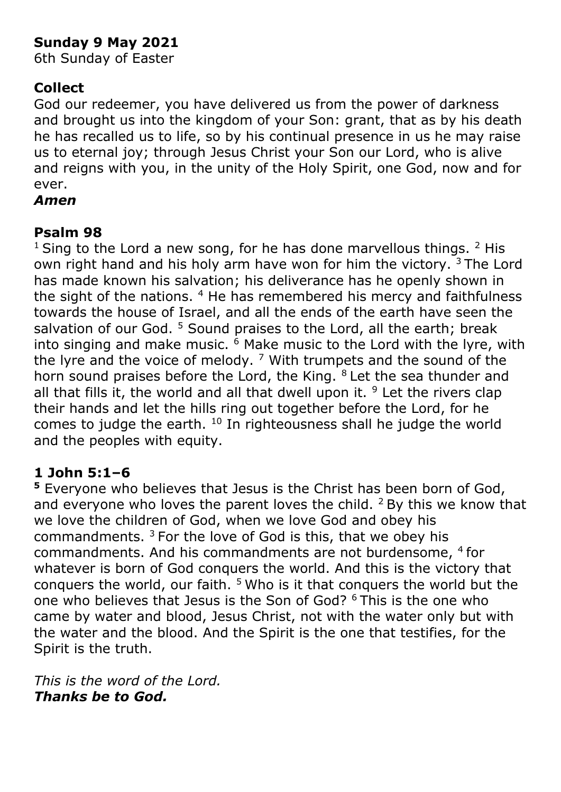# **Sunday 9 May 2021**

6th Sunday of Easter

# **Collect**

God our redeemer, you have delivered us from the power of darkness and brought us into the kingdom of your Son: grant, that as by his death he has recalled us to life, so by his continual presence in us he may raise us to eternal joy; through Jesus Christ your Son our Lord, who is alive and reigns with you, in the unity of the Holy Spirit, one God, now and for ever.

## *Amen*

# **Psalm 98**

 $1$  Sing to the Lord a new song, for he has done marvellous things.  $2$  His own right hand and his holy arm have won for him the victory.  $3$  The Lord has made known his salvation; his deliverance has he openly shown in the sight of the nations.  $4$  He has remembered his mercy and faithfulness towards the house of Israel, and all the ends of the earth have seen the salvation of our God.<sup>5</sup> Sound praises to the Lord, all the earth; break into singing and make music.  $6$  Make music to the Lord with the lyre, with the lyre and the voice of melody.  $7$  With trumpets and the sound of the horn sound praises before the Lord, the King. <sup>8</sup> Let the sea thunder and all that fills it, the world and all that dwell upon it.  $9$  Let the rivers clap their hands and let the hills ring out together before the Lord, for he comes to judge the earth. <sup>10</sup> In righteousness shall he judge the world and the peoples with equity.

# **1 John 5:1–6**

**<sup>5</sup>** Everyone who believes that Jesus is the Christ has been born of God, and everyone who loves the parent loves the child.  $2$  By this we know that we love the children of God, when we love God and obey his commandments.  $3$  For the love of God is this, that we obey his commandments. And his commandments are not burdensome, <sup>4</sup> for whatever is born of God conquers the world. And this is the victory that conquers the world, our faith.  $5$  Who is it that conquers the world but the one who believes that Jesus is the Son of God? <sup>6</sup> This is the one who came by water and blood, Jesus Christ, not with the water only but with the water and the blood. And the Spirit is the one that testifies, for the Spirit is the truth.

*This is the word of the Lord. Thanks be to God.*